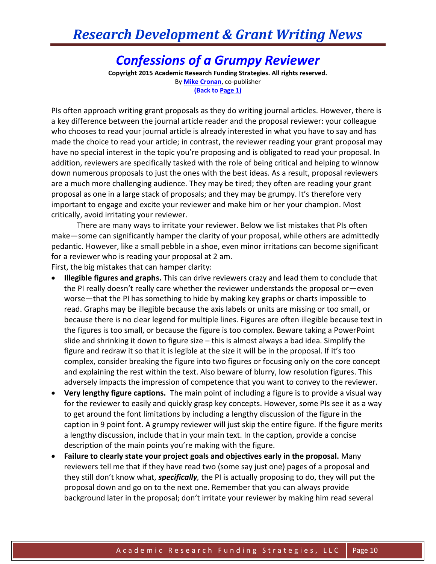#### *Confessions of a Grumpy Reviewer*

**Copyright 2015 Academic Research Funding Strategies. All rights reserved.** By **[Mike Cronan](mailto:mjcronan@gmail.com)**, co-publisher **(Back to Page 1)**

PIs often approach writing grant proposals as they do writing journal articles. However, there is a key difference between the journal article reader and the proposal reviewer: your colleague who chooses to read your journal article is already interested in what you have to say and has made the choice to read your article; in contrast, the reviewer reading your grant proposal may have no special interest in the topic you're proposing and is obligated to read your proposal. In addition, reviewers are specifically tasked with the role of being critical and helping to winnow down numerous proposals to just the ones with the best ideas. As a result, proposal reviewers are a much more challenging audience. They may be tired; they often are reading your grant proposal as one in a large stack of proposals; and they may be grumpy. It's therefore very important to engage and excite your reviewer and make him or her your champion. Most critically, avoid irritating your reviewer.

There are many ways to irritate your reviewer. Below we list mistakes that PIs often make—some can significantly hamper the clarity of your proposal, while others are admittedly pedantic. However, like a small pebble in a shoe, even minor irritations can become significant for a reviewer who is reading your proposal at 2 am. First, the big mistakes that can hamper clarity:

- **Illegible figures and graphs.** This can drive reviewers crazy and lead them to conclude that the PI really doesn't really care whether the reviewer understands the proposal or—even worse—that the PI has something to hide by making key graphs or charts impossible to read. Graphs may be illegible because the axis labels or units are missing or too small, or because there is no clear legend for multiple lines. Figures are often illegible because text in the figures is too small, or because the figure is too complex. Beware taking a PowerPoint slide and shrinking it down to figure size – this is almost always a bad idea. Simplify the figure and redraw it so that it is legible at the size it will be in the proposal. If it's too complex, consider breaking the figure into two figures or focusing only on the core concept and explaining the rest within the text. Also beware of blurry, low resolution figures. This adversely impacts the impression of competence that you want to convey to the reviewer.
- **Very lengthy figure captions.** The main point of including a figure is to provide a visual way for the reviewer to easily and quickly grasp key concepts. However, some PIs see it as a way to get around the font limitations by including a lengthy discussion of the figure in the caption in 9 point font. A grumpy reviewer will just skip the entire figure. If the figure merits a lengthy discussion, include that in your main text. In the caption, provide a concise description of the main points you're making with the figure.
- **Failure to clearly state your project goals and objectives early in the proposal.** Many reviewers tell me that if they have read two (some say just one) pages of a proposal and they still don't know what, *specifically,* the PI is actually proposing to do, they will put the proposal down and go on to the next one. Remember that you can always provide background later in the proposal; don't irritate your reviewer by making him read several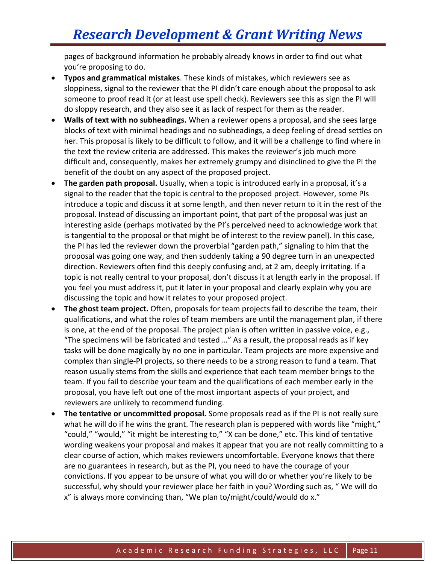pages of background information he probably already knows in order to find out what you're proposing to do.

- **Typos and grammatical mistakes**. These kinds of mistakes, which reviewers see as sloppiness, signal to the reviewer that the PI didn't care enough about the proposal to ask someone to proof read it (or at least use spell check). Reviewers see this as sign the PI will do sloppy research, and they also see it as lack of respect for them as the reader.
- **Walls of text with no subheadings.** When a reviewer opens a proposal, and she sees large blocks of text with minimal headings and no subheadings, a deep feeling of dread settles on her. This proposal is likely to be difficult to follow, and it will be a challenge to find where in the text the review criteria are addressed. This makes the reviewer's job much more difficult and, consequently, makes her extremely grumpy and disinclined to give the PI the benefit of the doubt on any aspect of the proposed project.
- **The garden path proposal.** Usually, when a topic is introduced early in a proposal, it's a signal to the reader that the topic is central to the proposed project. However, some PIs introduce a topic and discuss it at some length, and then never return to it in the rest of the proposal. Instead of discussing an important point, that part of the proposal was just an interesting aside (perhaps motivated by the PI's perceived need to acknowledge work that is tangential to the proposal or that might be of interest to the review panel). In this case, the PI has led the reviewer down the proverbial "garden path," signaling to him that the proposal was going one way, and then suddenly taking a 90 degree turn in an unexpected direction. Reviewers often find this deeply confusing and, at 2 am, deeply irritating. If a topic is not really central to your proposal, don't discuss it at length early in the proposal. If you feel you must address it, put it later in your proposal and clearly explain why you are discussing the topic and how it relates to your proposed project.
- **The ghost team project.** Often, proposals for team projects fail to describe the team, their qualifications, and what the roles of team members are until the management plan, if there is one, at the end of the proposal. The project plan is often written in passive voice, e.g., "The specimens will be fabricated and tested …" As a result, the proposal reads as if key tasks will be done magically by no one in particular. Team projects are more expensive and complex than single-PI projects, so there needs to be a strong reason to fund a team. That reason usually stems from the skills and experience that each team member brings to the team. If you fail to describe your team and the qualifications of each member early in the proposal, you have left out one of the most important aspects of your project, and reviewers are unlikely to recommend funding.
- **The tentative or uncommitted proposal.** Some proposals read as if the PI is not really sure what he will do if he wins the grant. The research plan is peppered with words like "might," "could," "would," "it might be interesting to," "X can be done," etc. This kind of tentative wording weakens your proposal and makes it appear that you are not really committing to a clear course of action, which makes reviewers uncomfortable. Everyone knows that there are no guarantees in research, but as the PI, you need to have the courage of your convictions. If you appear to be unsure of what you will do or whether you're likely to be successful, why should your reviewer place her faith in you? Wording such as, " We will do x" is always more convincing than, "We plan to/might/could/would do x."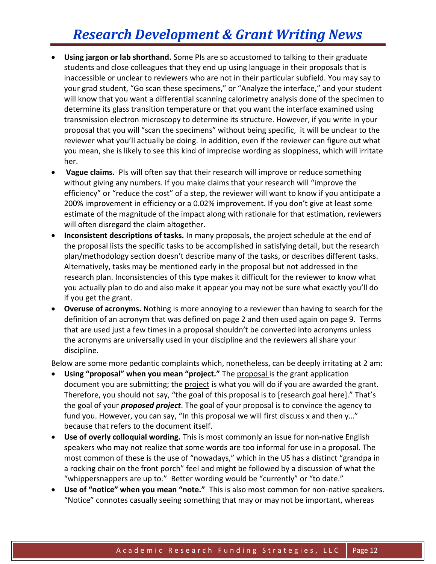- **Using jargon or lab shorthand.** Some PIs are so accustomed to talking to their graduate students and close colleagues that they end up using language in their proposals that is inaccessible or unclear to reviewers who are not in their particular subfield. You may say to your grad student, "Go scan these specimens," or "Analyze the interface," and your student will know that you want a differential scanning calorimetry analysis done of the specimen to determine its glass transition temperature or that you want the interface examined using transmission electron microscopy to determine its structure. However, if you write in your proposal that you will "scan the specimens" without being specific, it will be unclear to the reviewer what you'll actually be doing. In addition, even if the reviewer can figure out what you mean, she is likely to see this kind of imprecise wording as sloppiness, which will irritate her.
- **Vague claims.** PIs will often say that their research will improve or reduce something without giving any numbers. If you make claims that your research will "improve the efficiency" or "reduce the cost" of a step, the reviewer will want to know if you anticipate a 200% improvement in efficiency or a 0.02% improvement. If you don't give at least some estimate of the magnitude of the impact along with rationale for that estimation, reviewers will often disregard the claim altogether.
- **Inconsistent descriptions of tasks.** In many proposals, the project schedule at the end of the proposal lists the specific tasks to be accomplished in satisfying detail, but the research plan/methodology section doesn't describe many of the tasks, or describes different tasks. Alternatively, tasks may be mentioned early in the proposal but not addressed in the research plan. Inconsistencies of this type makes it difficult for the reviewer to know what you actually plan to do and also make it appear you may not be sure what exactly you'll do if you get the grant.
- **Overuse of acronyms.** Nothing is more annoying to a reviewer than having to search for the definition of an acronym that was defined on page 2 and then used again on page 9. Terms that are used just a few times in a proposal shouldn't be converted into acronyms unless the acronyms are universally used in your discipline and the reviewers all share your discipline.

Below are some more pedantic complaints which, nonetheless, can be deeply irritating at 2 am:

- **Using "proposal" when you mean "project."** The proposal is the grant application document you are submitting; the project is what you will do if you are awarded the grant. Therefore, you should not say, "the goal of this proposal is to [research goal here]." That's the goal of your *proposed project*. The goal of your proposal is to convince the agency to fund you. However, you can say, "In this proposal we will first discuss x and then y…" because that refers to the document itself.
- **Use of overly colloquial wording.** This is most commonly an issue for non-native English speakers who may not realize that some words are too informal for use in a proposal. The most common of these is the use of "nowadays," which in the US has a distinct "grandpa in a rocking chair on the front porch" feel and might be followed by a discussion of what the "whippersnappers are up to." Better wording would be "currently" or "to date."
- **Use of "notice" when you mean "note."** This is also most common for non-native speakers. "Notice" connotes casually seeing something that may or may not be important, whereas